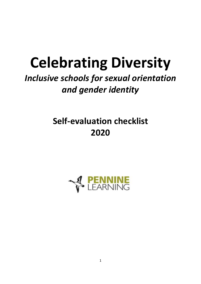# **Celebrating Diversity**

# *Inclusive schools for sexual orientation and gender identity*

# **Self-evaluation checklist 2020**

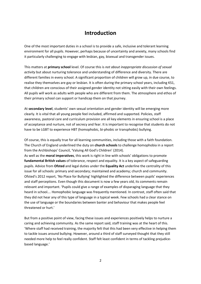#### **Introduction**

One of the most important duties in a school is to provide a safe, inclusive and tolerant learning environment for all pupils. However, perhaps because of uncertainty and anxiety, many schools find it particularly challenging to engage with lesbian, gay, bisexual and transgender issues.

This matters at **primary school** level. Of course this is *not about inappropriate discussion of sexual activity* but about nurturing tolerance and understanding of difference and diversity. There are different families in every school. A significant proportion of children will grow up, in due course, to realise they themselves are gay or lesbian. It is often during the primary school years, including KS1, that children are conscious of their assigned gender identity not sitting easily with their own feelings. All pupils will work as adults with people who are different from them. The atmosphere and ethos of their primary school can support or handicap them on that journey.

At **secondary level**, students' own sexual orientation and gender identity will be emerging more clearly. It is vital that all young people feel included, affirmed and supported. Policies, staff awareness, pastoral care and curriculum provision are all key elements in ensuring school is a place of acceptance and nurture, not of secrecy and fear. It is important to recognise that students do not have to be LGBT to experience HBT (homophobic, bi-phobic or transphobic) bullying.

Of course, this is equally true for all learning communities, including those with a faith foundation. The Church of England underlined the duty on **church schools** to challenge homophobia in a report from the Archbishops' Council, 'Valuing All God's Children' (2014).

As well as the **moral imperatives**, this work is right in line with schools' obligations to promote **fundamental British values** of tolerance, respect and equality. It is a key aspect of safeguarding pupils. Advice from **Ofsted** and legal duties under the **Equality Act** underline the centrality of this issue for all schools: primary and secondary; maintained and academy; church and community. Ofsted's 2012 report, 'No Place for Bullying' highlighted the difference between pupils' experiences and staff perceptions. Even though this document is now a few years old, its comments remain relevant and important. 'Pupils could give a range of examples of disparaging language that they heard in school…. Homophobic language was frequently mentioned. In contrast, staff often said that they did not hear any of this type of language in a typical week. Few schools had a clear stance on the use of language or the boundaries between banter and behaviour that makes people feel threatened or hurt.'

But from a positive point of view, facing these issues and experiences positively helps to nurture a caring and achieving community. As the same report said, staff training was at the heart of this. 'Where staff had received training, the majority felt that this had been very effective in helping them to tackle issues around bullying. However, around a third of staff surveyed thought that they still needed more help to feel really confident. Staff felt least confident in terms of tackling prejudicebased language.'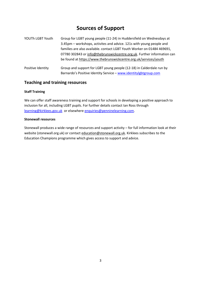#### **Sources of Support**

| YOUTh LGBT Youth  | Group for LGBT young people (11-24) in Huddersfield on Wednesdays at                                                                     |  |  |  |
|-------------------|------------------------------------------------------------------------------------------------------------------------------------------|--|--|--|
|                   | 3.45pm - workshops, activites and advice. 121s with young people and                                                                     |  |  |  |
|                   | families are also available. contact LGBT Youth Worker on 01484 469691,                                                                  |  |  |  |
|                   | 07780 302843 or info@thebrunswickcentre.org.uk. Further information can                                                                  |  |  |  |
|                   | be found at https://www.thebrunswickcentre.org.uk/services/youth                                                                         |  |  |  |
| Positive Identity | Group and support for LGBT young people (12-18) in Calderdale run by<br>Barnardo's Positive Identity Service - www.identitylgbtgroup.com |  |  |  |

#### **Teaching and training resources**

#### **Staff Training**

We can offer staff awareness training and support for schools in developing a positive approach to inclusion for all, including LGBT pupils. For further details contact Ian Ross through [learning@kirklees.gov.uk](mailto:learning@kirklees.gov.uk) or elsewher[e enquiries@penninelearning.com.](mailto:enquiries@penninelearning.com)

#### **Stonewall resources**

Stonewall produces a wide range of resources and support activity – for full information look at their website (stonewall.org.uk) or contact [education@stonewall.org.uk.](mailto:education@stonewall.org.uk) Kirklees subscribes to the Education Champions programme which gives access to support and advice.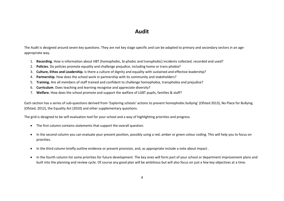#### **Audit**

The Audit is designed around seven key questions. They are not key stage specific and can be adapted to primary and secondary sectors in an ageappropriate way.

- 1. **Recording**. How is information about HBT (homophobic, bi-phobic and transphobic) incidents collected, recorded and used?
- 2. **Policies.** Do policies promote equality and challenge prejudice, including homo or trans phobia?
- 3. **Culture, Ethos and Leadership.** Is there a culture of dignity and equality with sustained and effective leadership?
- 4. **Partnership.** How does the school work in partnership with its community and stakeholders?
- 5. **Training.** Are all members of staff trained and confident to challenge homophobia, transphobia and prejudice?
- 6. **Curriculum**. Does teaching and learning recognise and appreciate diversity?
- 7. **Welfare.** How does the school promote and support the welfare of LGBT pupils, families & staff?

Each section has a series of sub-questions derived from 'Exploring schools' actions to prevent homophobic bullying' (Ofsted 2013), No Place for Bullying (Ofsted, 2012), the Equality Act (2010) and other supplementary questions.

The grid is designed to be self-evaluation tool for your school and a way of highlighting priorities and progress.

- The first column contains statements that support the overall question.
- In the second column you can evaluate your present position, possibly using a red, amber or green colour coding. This will help you to focus on priorities.
- In the third column briefly outline evidence or present provision, and, as appropriate include a note about impact .
- In the fourth column list some priorities for future development. The key ones will form part of your school or department improvement plans and built into the planning and review cycle. Of course any good plan will be ambitious but will also focus on just a few key objectives at a time.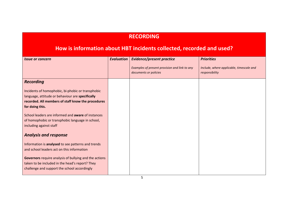#### **RECORDING**

#### **How is information about HBT incidents collected, recorded and used?**

| <i><b>Issue or concern</b></i>                                                                                                                                                 | <b>Evaluation</b> | <b>Evidence/present practice</b>                                       | <b>Priorities</b>                                          |
|--------------------------------------------------------------------------------------------------------------------------------------------------------------------------------|-------------------|------------------------------------------------------------------------|------------------------------------------------------------|
|                                                                                                                                                                                |                   | Examples of present provision and link to any<br>documents or policies | Include, where applicable, timescale and<br>responsibility |
| <b>Recording</b>                                                                                                                                                               |                   |                                                                        |                                                            |
| Incidents of homophobic, bi-phobic or transphobic<br>language, attitude or behaviour are specifically<br>recorded. All members of staff know the procedures<br>for doing this. |                   |                                                                        |                                                            |
| School leaders are informed and <b>aware</b> of instances<br>of homophobic or transphobic language in school,<br>including against staff                                       |                   |                                                                        |                                                            |
| <b>Analysis and response</b>                                                                                                                                                   |                   |                                                                        |                                                            |
| Information is analysed to see patterns and trends<br>and school leaders act on this information                                                                               |                   |                                                                        |                                                            |
| Governors require analysis of bullying and the actions<br>taken to be included in the head's report? They<br>challenge and support the school accordingly                      |                   |                                                                        |                                                            |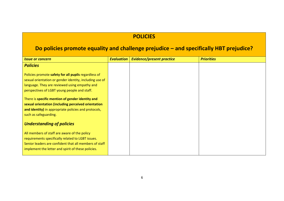#### **POLICIES**

## **Do policies promote equality and challenge prejudice – and specifically HBT prejudice?**

| <i><b>Issue or concern</b></i>                                                                                                                                                                                    | <b>Evaluation</b> | <b>Evidence/present practice</b> | <b>Priorities</b> |
|-------------------------------------------------------------------------------------------------------------------------------------------------------------------------------------------------------------------|-------------------|----------------------------------|-------------------|
| <b>Policies</b>                                                                                                                                                                                                   |                   |                                  |                   |
| Policies promote safety for all pupils regardless of<br>sexual orientation or gender identity, including use of<br>language. They are reviewed using empathy and<br>perspectives of LGBT young people and staff.  |                   |                                  |                   |
| There is specific mention of gender identity and<br>sexual orientation (including perceived orientation<br>and identity) in appropriate policies and protocols,<br>such as safeguarding.                          |                   |                                  |                   |
| <b>Understanding of policies</b>                                                                                                                                                                                  |                   |                                  |                   |
| All members of staff are aware of the policy<br>requirements specifically related to LGBT issues.<br>Senior leaders are confident that all members of staff<br>implement the letter and spirit of these policies. |                   |                                  |                   |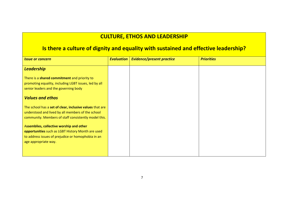#### **CULTURE, ETHOS AND LEADERSHIP**

## **Is there a culture of dignity and equality with sustained and effective leadership?**

| <b>Issue or concern</b>                                  | <b>Evaluation</b> | <b>Evidence/present practice</b> | <b>Priorities</b> |
|----------------------------------------------------------|-------------------|----------------------------------|-------------------|
| <b>Leadership</b>                                        |                   |                                  |                   |
| There is a shared commitment and priority to             |                   |                                  |                   |
| promoting equality, including LGBT issues, led by all    |                   |                                  |                   |
| senior leaders and the governing body                    |                   |                                  |                   |
| <b>Values and ethos</b>                                  |                   |                                  |                   |
| The school has a set of clear, inclusive values that are |                   |                                  |                   |
| understood and lived by all members of the school        |                   |                                  |                   |
| community. Members of staff consistently model this.     |                   |                                  |                   |
| Assemblies, collective worship and other                 |                   |                                  |                   |
| opportunities such as LGBT History Month are used        |                   |                                  |                   |
| to address issues of prejudice or homophobia in an       |                   |                                  |                   |
| age appropriate way.                                     |                   |                                  |                   |
|                                                          |                   |                                  |                   |
|                                                          |                   |                                  |                   |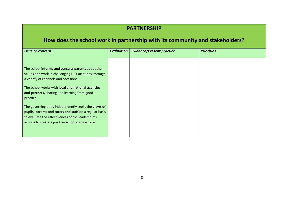#### **PARTNERSHIP**

## **How does the school work in partnership with its community and stakeholders?**

|                                                                                                                                                                                                                            | <b>Evaluation</b> | <b>Evidence/Present practice</b> | <b>Priorities</b> |
|----------------------------------------------------------------------------------------------------------------------------------------------------------------------------------------------------------------------------|-------------------|----------------------------------|-------------------|
| The school informs and consults parents about their<br>values and work in challenging HBT attitudes, through<br>a variety of channels and occasions                                                                        |                   |                                  |                   |
| The school works with local and national agencies<br>and partners, sharing and learning from good<br>practice.                                                                                                             |                   |                                  |                   |
| The governing body independently seeks the views of<br>pupils, parents and carers and staff on a regular basis<br>to evaluate the effectiveness of the leadership's<br>actions to create a positive school culture for all |                   |                                  |                   |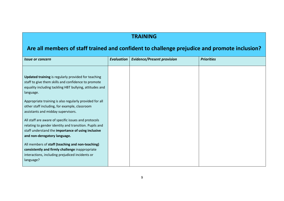#### **TRAINING**

## **Are all members of staff trained and confident to challenge prejudice and promote inclusion?**

| <b>Issue or concern</b>                                                                                                                                                                              | <b>Evaluation</b> | <b>Evidence/Present provision</b> | <b>Priorities</b> |
|------------------------------------------------------------------------------------------------------------------------------------------------------------------------------------------------------|-------------------|-----------------------------------|-------------------|
| <b>Updated training</b> is regularly provided for teaching<br>staff to give them skills and confidence to promote<br>equality including tackling HBT bullying, attitudes and<br>language.            |                   |                                   |                   |
| Appropriate training is also regularly provided for all<br>other staff including, for example, classroom<br>assistants and midday supervisors.                                                       |                   |                                   |                   |
| All staff are aware of specific issues and protocols<br>relating to gender identity and transition. Pupils and<br>staff understand the importance of using inclusive<br>and non-derogatory language. |                   |                                   |                   |
| All members of staff (teaching and non-teaching)<br>consistently and firmly challenge inappropriate<br>interactions, including prejudiced incidents or<br>language?                                  |                   |                                   |                   |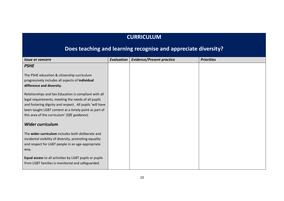#### **CURRICULUM**

# **Does teaching and learning recognise and appreciate diversity?**

| <i><b>Issue or concern</b></i>                           | <b>Evaluation</b> | <b>Evidence/Present practice</b> | <b>Priorities</b> |
|----------------------------------------------------------|-------------------|----------------------------------|-------------------|
| <b>PSHE</b>                                              |                   |                                  |                   |
|                                                          |                   |                                  |                   |
| The PSHE education & citizenship curriculum              |                   |                                  |                   |
| progressively includes all aspects of individual         |                   |                                  |                   |
| difference and diversity.                                |                   |                                  |                   |
| Relationships and Sex Education is compliant with all    |                   |                                  |                   |
| legal requirements, meeting the needs of all pupils      |                   |                                  |                   |
| and fostering dignity and respect. All pupils 'will have |                   |                                  |                   |
|                                                          |                   |                                  |                   |
| been taught LGBT content at a timely point as part of    |                   |                                  |                   |
| this area of the curriculum' (DfE guidance).             |                   |                                  |                   |
| <b>Wider curriculum</b>                                  |                   |                                  |                   |
| The wider curriculum includes both deliberate and        |                   |                                  |                   |
| incidental visibility of diversity, promoting equality   |                   |                                  |                   |
| and respect for LGBT people in an age-appropriate        |                   |                                  |                   |
| way.                                                     |                   |                                  |                   |
|                                                          |                   |                                  |                   |
| Equal access to all activities by LGBT pupils or pupils  |                   |                                  |                   |
| from LGBT families is monitored and safeguarded.         |                   |                                  |                   |
|                                                          |                   |                                  |                   |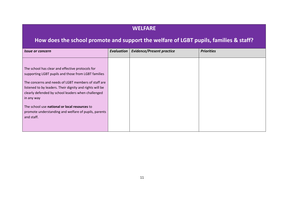#### **WELFARE**

## **How does the school promote and support the welfare of LGBT pupils, families & staff?**

| <i><b>Issue or concern</b></i>                                                                       | <b>Evaluation</b> | <b>Evidence/Present practice</b> | <b>Priorities</b> |
|------------------------------------------------------------------------------------------------------|-------------------|----------------------------------|-------------------|
|                                                                                                      |                   |                                  |                   |
|                                                                                                      |                   |                                  |                   |
| The school has clear and effective protocols for                                                     |                   |                                  |                   |
| supporting LGBT pupils and those from LGBT families                                                  |                   |                                  |                   |
|                                                                                                      |                   |                                  |                   |
|                                                                                                      |                   |                                  |                   |
| listened to by leaders. Their dignity and rights will be                                             |                   |                                  |                   |
| clearly defended by school leaders when challenged                                                   |                   |                                  |                   |
| in any way                                                                                           |                   |                                  |                   |
|                                                                                                      |                   |                                  |                   |
|                                                                                                      |                   |                                  |                   |
| promote understanding and welfare of pupils, parents                                                 |                   |                                  |                   |
| and staff.                                                                                           |                   |                                  |                   |
|                                                                                                      |                   |                                  |                   |
|                                                                                                      |                   |                                  |                   |
| The concerns and needs of LGBT members of staff are<br>The school use national or local resources to |                   |                                  |                   |